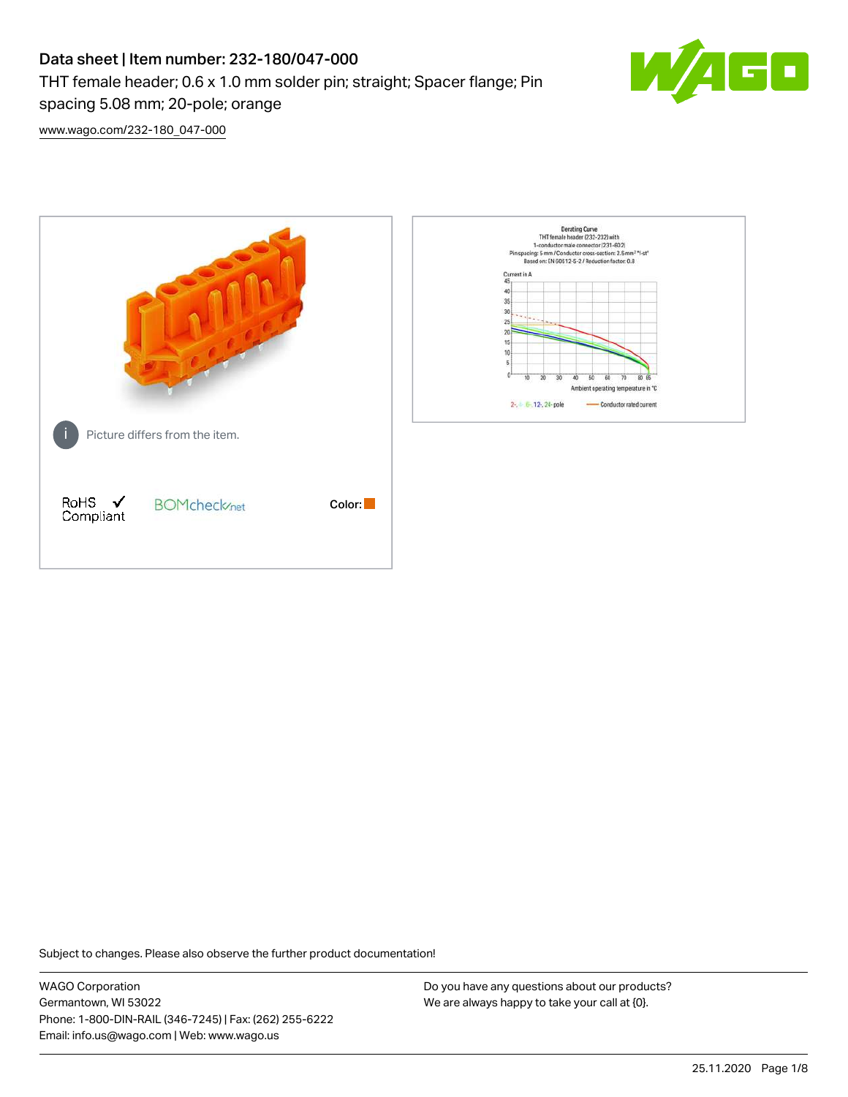# Data sheet | Item number: 232-180/047-000 THT female header; 0.6 x 1.0 mm solder pin; straight; Spacer flange; Pin spacing 5.08 mm; 20-pole; orange



[www.wago.com/232-180\\_047-000](http://www.wago.com/232-180_047-000)



Subject to changes. Please also observe the further product documentation!

WAGO Corporation Germantown, WI 53022 Phone: 1-800-DIN-RAIL (346-7245) | Fax: (262) 255-6222 Email: info.us@wago.com | Web: www.wago.us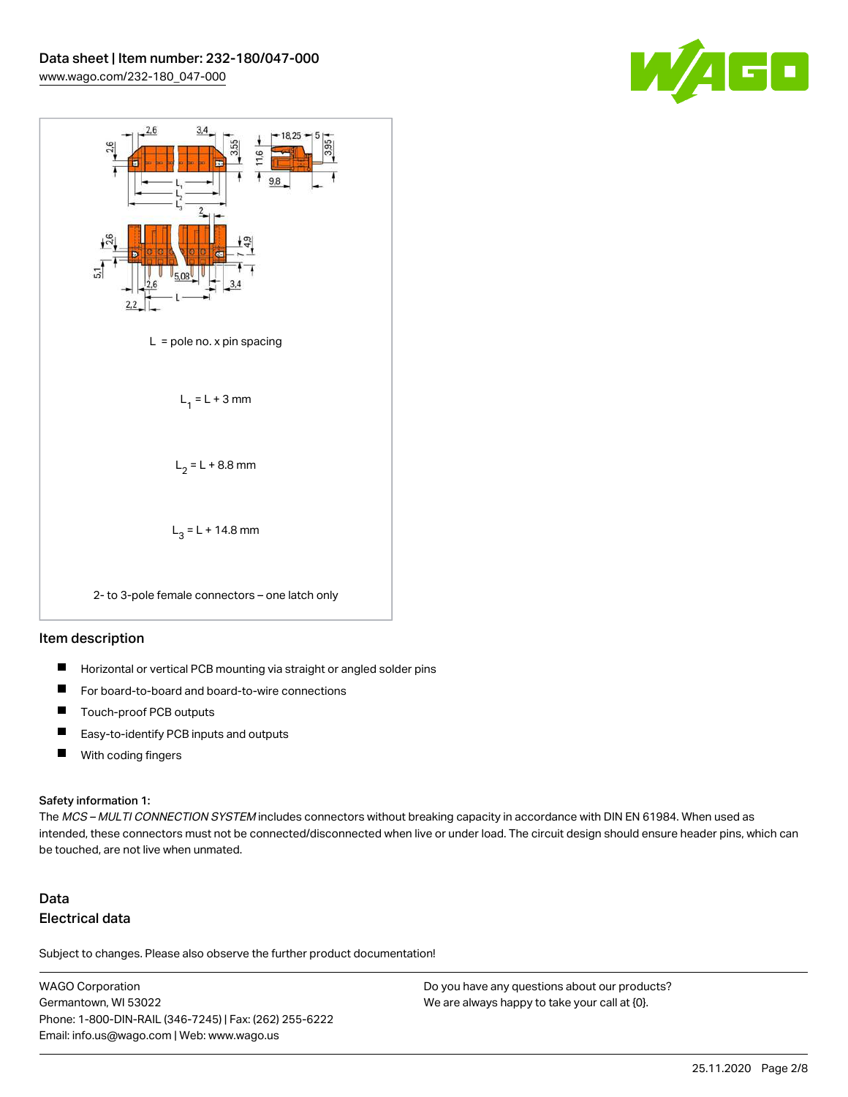



#### Item description

- $\blacksquare$ Horizontal or vertical PCB mounting via straight or angled solder pins
- П For board-to-board and board-to-wire connections
- $\blacksquare$ Touch-proof PCB outputs
- $\blacksquare$ Easy-to-identify PCB inputs and outputs
- $\blacksquare$ With coding fingers

#### Safety information 1:

The MCS - MULTI CONNECTION SYSTEM includes connectors without breaking capacity in accordance with DIN EN 61984. When used as intended, these connectors must not be connected/disconnected when live or under load. The circuit design should ensure header pins, which can be touched, are not live when unmated.

## Data Electrical data

Subject to changes. Please also observe the further product documentation!

WAGO Corporation Germantown, WI 53022 Phone: 1-800-DIN-RAIL (346-7245) | Fax: (262) 255-6222 Email: info.us@wago.com | Web: www.wago.us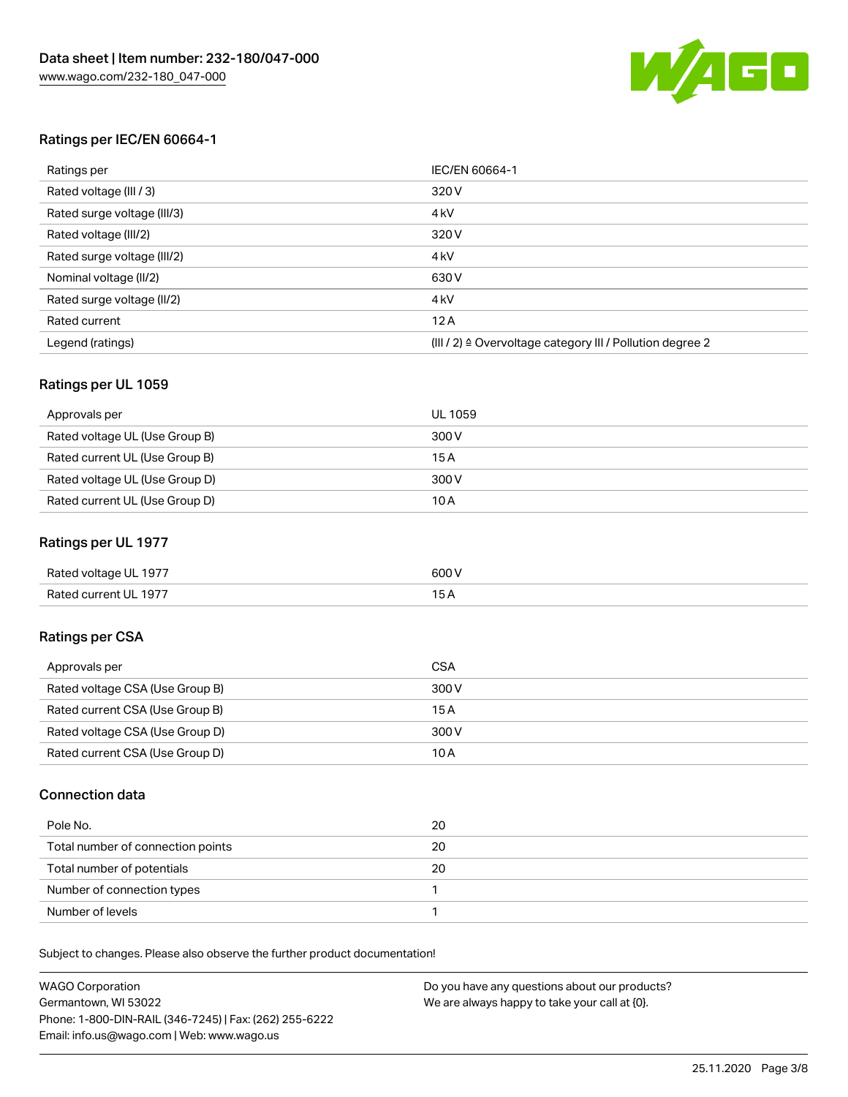

#### Ratings per IEC/EN 60664-1

| Ratings per                 | IEC/EN 60664-1                                                        |
|-----------------------------|-----------------------------------------------------------------------|
| Rated voltage (III / 3)     | 320 V                                                                 |
| Rated surge voltage (III/3) | 4 <sub>k</sub> V                                                      |
| Rated voltage (III/2)       | 320 V                                                                 |
| Rated surge voltage (III/2) | 4 <sub>k</sub> V                                                      |
| Nominal voltage (II/2)      | 630 V                                                                 |
| Rated surge voltage (II/2)  | 4 <sub>k</sub> V                                                      |
| Rated current               | 12A                                                                   |
| Legend (ratings)            | $(III / 2)$ $\triangle$ Overvoltage category III / Pollution degree 2 |

#### Ratings per UL 1059

| Approvals per                  | UL 1059 |
|--------------------------------|---------|
| Rated voltage UL (Use Group B) | 300 V   |
| Rated current UL (Use Group B) | 15 A    |
| Rated voltage UL (Use Group D) | 300 V   |
| Rated current UL (Use Group D) | 10A     |

#### Ratings per UL 1977

| Rated voltage UL 1977 | 600 <sup>V</sup><br>. |
|-----------------------|-----------------------|
| Rated current UL 1977 |                       |

### Ratings per CSA

| Approvals per                   | CSA   |
|---------------------------------|-------|
| Rated voltage CSA (Use Group B) | 300 V |
| Rated current CSA (Use Group B) | 15A   |
| Rated voltage CSA (Use Group D) | 300 V |
| Rated current CSA (Use Group D) | 10 A  |

#### Connection data

| Pole No.                          | 20 |
|-----------------------------------|----|
| Total number of connection points | 20 |
| Total number of potentials        | 20 |
| Number of connection types        |    |
| Number of levels                  |    |

Subject to changes. Please also observe the further product documentation!

| <b>WAGO Corporation</b>                                | Do you have any questions about our products? |
|--------------------------------------------------------|-----------------------------------------------|
| Germantown, WI 53022                                   | We are always happy to take your call at {0}. |
| Phone: 1-800-DIN-RAIL (346-7245)   Fax: (262) 255-6222 |                                               |
| Email: info.us@wago.com   Web: www.wago.us             |                                               |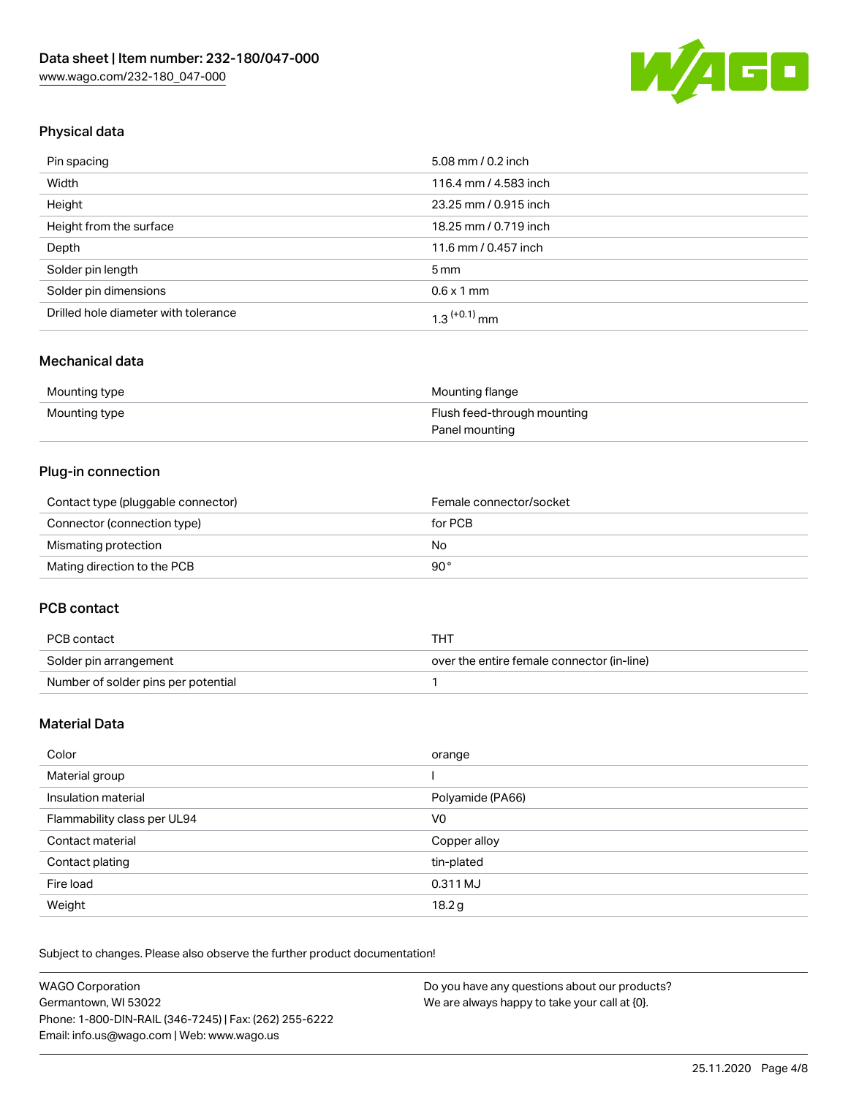

## Physical data

| Pin spacing                          | 5.08 mm / 0.2 inch    |
|--------------------------------------|-----------------------|
| Width                                | 116.4 mm / 4.583 inch |
| Height                               | 23.25 mm / 0.915 inch |
| Height from the surface              | 18.25 mm / 0.719 inch |
| Depth                                | 11.6 mm / 0.457 inch  |
| Solder pin length                    | $5 \,\mathrm{mm}$     |
| Solder pin dimensions                | $0.6 \times 1$ mm     |
| Drilled hole diameter with tolerance | $1.3$ $(+0.1)$ mm     |

### Mechanical data

| Mounting type | Mounting flange             |
|---------------|-----------------------------|
| Mounting type | Flush feed-through mounting |
|               | Panel mounting              |

### Plug-in connection

| Contact type (pluggable connector) | Female connector/socket |
|------------------------------------|-------------------------|
| Connector (connection type)        | for PCB                 |
| Mismating protection               | No                      |
| Mating direction to the PCB        | 90°                     |

#### PCB contact

| PCB contact                         | тнт                                        |
|-------------------------------------|--------------------------------------------|
| Solder pin arrangement              | over the entire female connector (in-line) |
| Number of solder pins per potential |                                            |

## Material Data

| Color                       | orange           |
|-----------------------------|------------------|
| Material group              |                  |
| Insulation material         | Polyamide (PA66) |
| Flammability class per UL94 | V0               |
| Contact material            | Copper alloy     |
| Contact plating             | tin-plated       |
| Fire load                   | 0.311 MJ         |
| Weight                      | 18.2g            |

Subject to changes. Please also observe the further product documentation!

| <b>WAGO Corporation</b>                                | Do you have any questions about our products? |
|--------------------------------------------------------|-----------------------------------------------|
| Germantown, WI 53022                                   | We are always happy to take your call at {0}. |
| Phone: 1-800-DIN-RAIL (346-7245)   Fax: (262) 255-6222 |                                               |
| Email: info.us@wago.com   Web: www.wago.us             |                                               |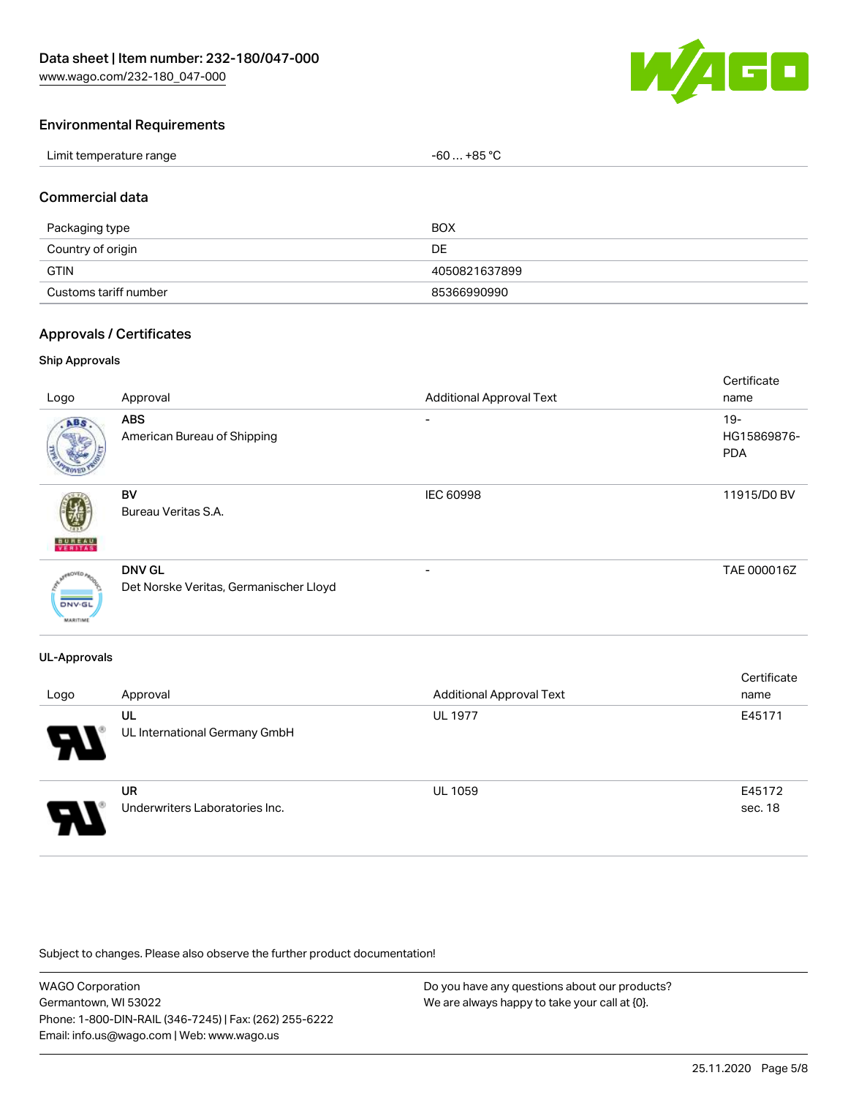[www.wago.com/232-180\\_047-000](http://www.wago.com/232-180_047-000)



#### Environmental Requirements

| Limit temperature range | . +85 °C<br>-60 |
|-------------------------|-----------------|
|-------------------------|-----------------|

#### Commercial data

| Packaging type        | <b>BOX</b>    |
|-----------------------|---------------|
| Country of origin     | DE            |
| <b>GTIN</b>           | 4050821637899 |
| Customs tariff number | 85366990990   |

#### Approvals / Certificates

#### Ship Approvals

| Logo                             | Approval                                                | <b>Additional Approval Text</b> | Certificate<br>name                 |
|----------------------------------|---------------------------------------------------------|---------------------------------|-------------------------------------|
| ABS                              | <b>ABS</b><br>American Bureau of Shipping               | ۰                               | $19 -$<br>HG15869876-<br><b>PDA</b> |
| <b>BUNEAU</b>                    | <b>BV</b><br>Bureau Veritas S.A.                        | IEC 60998                       | 11915/D0 BV                         |
| <b>DNV-GL</b><br><b>MARITIME</b> | <b>DNV GL</b><br>Det Norske Veritas, Germanischer Lloyd | $\overline{\phantom{a}}$        | TAE 000016Z                         |

#### UL-Approvals

| Logo                       | Approval                                    | <b>Additional Approval Text</b> | Certificate<br>name |
|----------------------------|---------------------------------------------|---------------------------------|---------------------|
| $\boldsymbol{\mathcal{A}}$ | UL<br>UL International Germany GmbH         | <b>UL 1977</b>                  | E45171              |
| 8                          | <b>UR</b><br>Underwriters Laboratories Inc. | <b>UL 1059</b>                  | E45172<br>sec. 18   |

Subject to changes. Please also observe the further product documentation!

WAGO Corporation Germantown, WI 53022 Phone: 1-800-DIN-RAIL (346-7245) | Fax: (262) 255-6222 Email: info.us@wago.com | Web: www.wago.us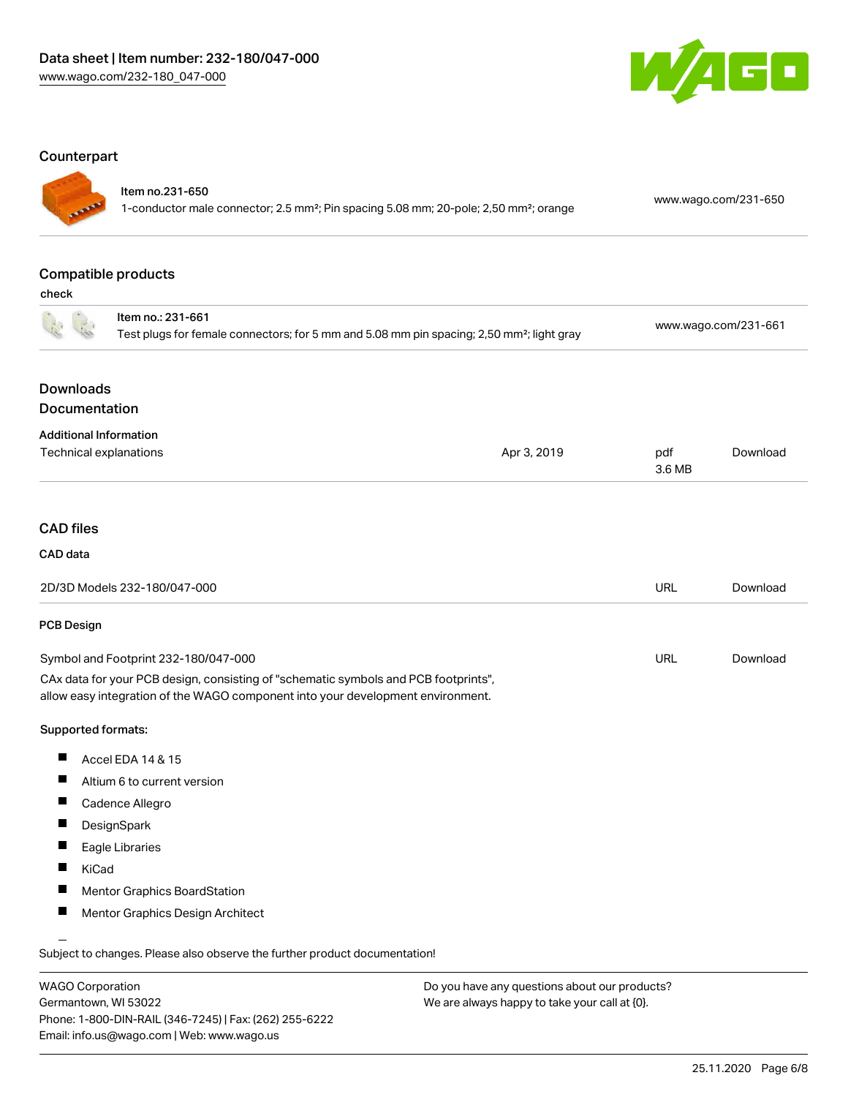

### **Counterpart**

## Item no.231-650

1-conductor male connector; 2.5 mm²; Pin spacing 5.08 mm; 20-pole; 2,50 mm²; orange [www.wago.com/231-650](https://www.wago.com/231-650)

## Compatible products

check

|                               | Item no.: 231-661<br>Test plugs for female connectors; for 5 mm and 5.08 mm pin spacing; 2,50 mm <sup>2</sup> ; light gray                                             |             |               | www.wago.com/231-661 |
|-------------------------------|------------------------------------------------------------------------------------------------------------------------------------------------------------------------|-------------|---------------|----------------------|
| <b>Downloads</b>              |                                                                                                                                                                        |             |               |                      |
| Documentation                 |                                                                                                                                                                        |             |               |                      |
| <b>Additional Information</b> |                                                                                                                                                                        |             |               |                      |
|                               | Technical explanations                                                                                                                                                 | Apr 3, 2019 | pdf<br>3.6 MB | Download             |
|                               |                                                                                                                                                                        |             |               |                      |
| <b>CAD files</b>              |                                                                                                                                                                        |             |               |                      |
| CAD data                      |                                                                                                                                                                        |             |               |                      |
|                               | 2D/3D Models 232-180/047-000                                                                                                                                           |             | <b>URL</b>    | Download             |
| <b>PCB Design</b>             |                                                                                                                                                                        |             |               |                      |
|                               | Symbol and Footprint 232-180/047-000                                                                                                                                   |             | <b>URL</b>    | Download             |
|                               | CAx data for your PCB design, consisting of "schematic symbols and PCB footprints",<br>allow easy integration of the WAGO component into your development environment. |             |               |                      |
| Supported formats:            |                                                                                                                                                                        |             |               |                      |
| Ш                             | Accel EDA 14 & 15                                                                                                                                                      |             |               |                      |
| Ш                             | Altium 6 to current version                                                                                                                                            |             |               |                      |
| ш                             | Cadence Allegro                                                                                                                                                        |             |               |                      |
| Ш                             | DesignSpark                                                                                                                                                            |             |               |                      |
| ш                             | Eagle Libraries                                                                                                                                                        |             |               |                      |
| Ш<br>KiCad                    |                                                                                                                                                                        |             |               |                      |
| п                             | <b>Mentor Graphics BoardStation</b>                                                                                                                                    |             |               |                      |
| ш                             | Mentor Graphics Design Architect                                                                                                                                       |             |               |                      |
|                               | Subject to changes. Please also observe the further product documentation!                                                                                             |             |               |                      |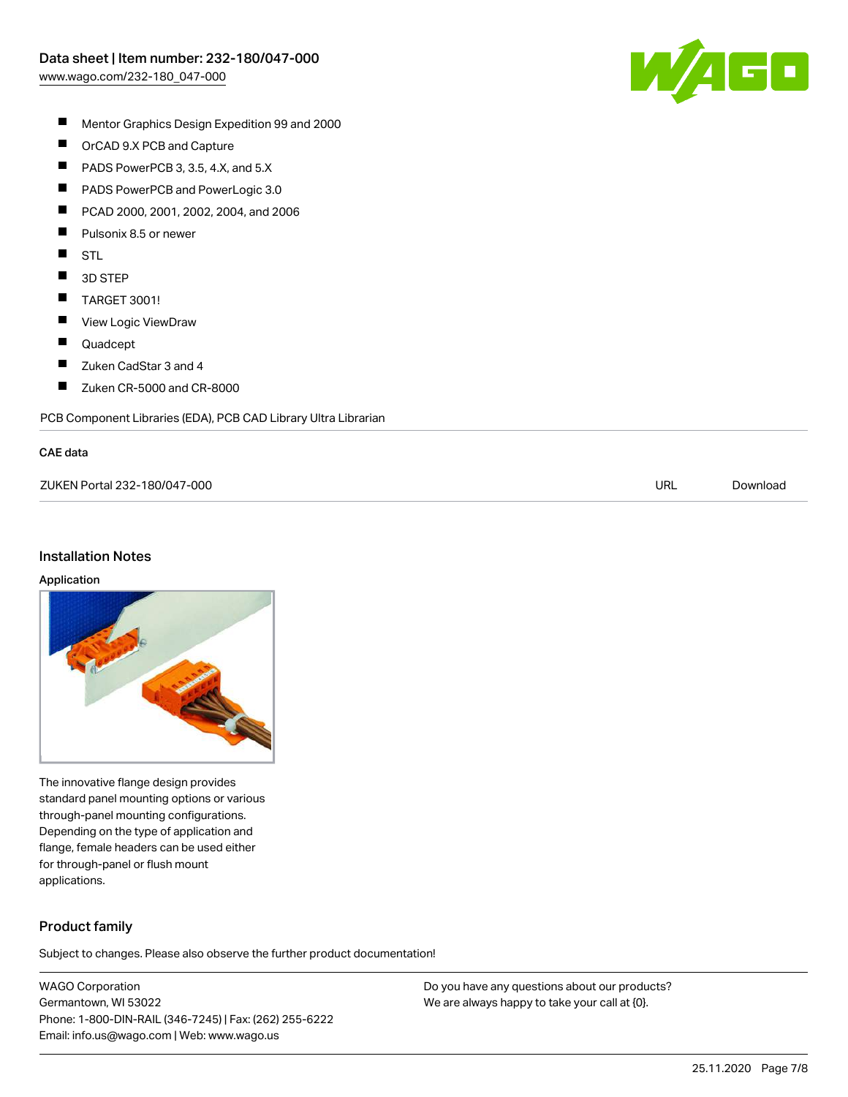

- $\blacksquare$ Mentor Graphics Design Expedition 99 and 2000
- $\blacksquare$ OrCAD 9.X PCB and Capture
- $\blacksquare$ PADS PowerPCB 3, 3.5, 4.X, and 5.X
- $\blacksquare$ PADS PowerPCB and PowerLogic 3.0
- $\blacksquare$ PCAD 2000, 2001, 2002, 2004, and 2006
- $\blacksquare$ Pulsonix 8.5 or newer
- $\blacksquare$ STL
- $\blacksquare$ 3D STEP
- $\blacksquare$ TARGET 3001!
- $\blacksquare$ View Logic ViewDraw
- $\blacksquare$ Quadcept
- $\blacksquare$ Zuken CadStar 3 and 4
- $\blacksquare$ Zuken CR-5000 and CR-8000

PCB Component Libraries (EDA), PCB CAD Library Ultra Librarian

#### CAE data

| ZUKEN Portal 232-180/047-000 | URL | Download |
|------------------------------|-----|----------|
|                              |     |          |

#### Installation Notes

#### Application



The innovative flange design provides standard panel mounting options or various through-panel mounting configurations. Depending on the type of application and flange, female headers can be used either for through-panel or flush mount applications.

### Product family

Subject to changes. Please also observe the further product documentation!

WAGO Corporation Germantown, WI 53022 Phone: 1-800-DIN-RAIL (346-7245) | Fax: (262) 255-6222 Email: info.us@wago.com | Web: www.wago.us